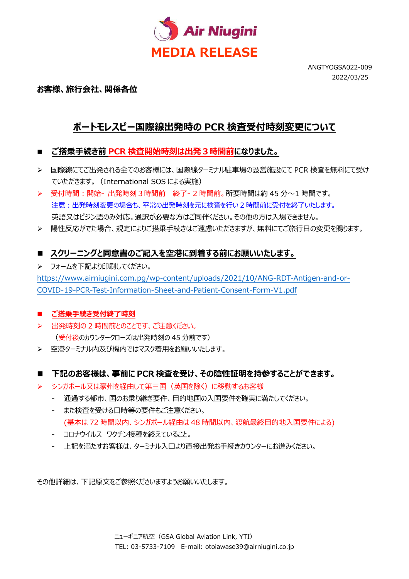

ANGTYOGSA022-009 2022/03/25

### **お客様、旅⾏会社、関係各位**

# **ポートモレスビー国際線出発時の PCR 検査受付時刻変更について**

- **ご搭乗手続き前 PCR 検査開始時刻は出発3時間前になりました。**
- **>** 国際線にてご出発される全てのお客様には、国際線ターミナル駐車場の設営施設にて PCR 検査を無料にて受け ていただきます。(International SOS による実施)
- ▶│受付時間:開始- 出発時刻3時間前│終了- 2 時間前。所要時間は約 45 分〜1 時間です。 注意:出発時刻変更の場合も、平常の出発時刻を元に検査を行い 2 時間前に受付を終了いたします。 英語又はピジン語のみ対応。通訳が必要な方はご同伴ください。その他の方は入場できません。
- ▶ 陽性反応がでた場合、規定によりご搭乗手続きはご遠慮いただきますが、無料にてご旅行日の変更を賜ります。

## **■ スクリーニングと同意書のご記入を空港に到着する前にお願いいたします。**

フォームを下記より印刷してください。

https://www.airniugini.com.pg/wp-content/uploads/2021/10/ANG-RDT-Antigen-and-or-COVID-19-PCR-Test-Information-Sheet-and-Patient-Consent-Form-V1.pdf

#### ■ ご搭乗手続き受付終了時刻

- > 出発時刻の 2 時間前とのことです、ご注意ください。 (受付後のカウンタークローズは出発時刻の 45 分前です)
- ▶ 空港ターミナル内及び機内ではマスク着用をお願いいたします。

#### **下記のお客様は、事前に PCR 検査を受け、その陰性証明を持参することができます。**

- シンガポール又は豪州を経由して第三国(英国を除く)に移動するお客様
	- 通過する都市、国のお乗り継ぎ要件、目的地国の入国要件を確実に満たしてください。
	- また検査を受ける⽇時等の要件もご注意ください。 (基本は 72 時間以内、シンガポール経由は 48 時間以内、渡航最終目的地入国要件による)
	- コロナウイルス ワクチン接種を終えていること。
	- 上記を満たすお客様は、ターミナル入口より直接出発お手続きカウンターにお進みください。

その他詳細は、下記原文をご参照くださいますようお願いいたします。